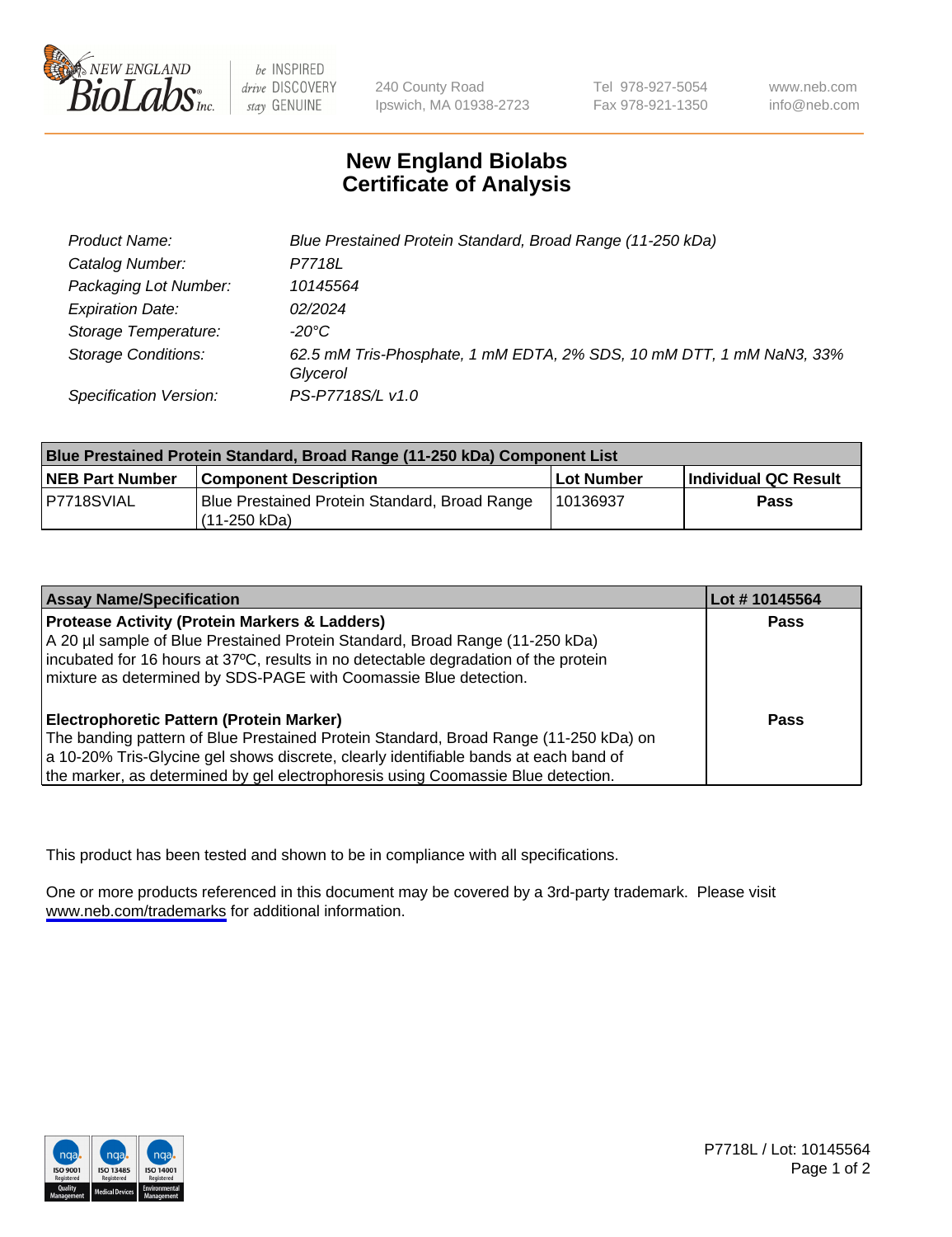

be INSPIRED drive DISCOVERY stay GENUINE

240 County Road Ipswich, MA 01938-2723 Tel 978-927-5054 Fax 978-921-1350

www.neb.com info@neb.com

## **New England Biolabs Certificate of Analysis**

| Product Name:              | Blue Prestained Protein Standard, Broad Range (11-250 kDa)                       |
|----------------------------|----------------------------------------------------------------------------------|
| Catalog Number:            | P7718L                                                                           |
| Packaging Lot Number:      | 10145564                                                                         |
| <b>Expiration Date:</b>    | 02/2024                                                                          |
| Storage Temperature:       | -20°C                                                                            |
| <b>Storage Conditions:</b> | 62.5 mM Tris-Phosphate, 1 mM EDTA, 2% SDS, 10 mM DTT, 1 mM NaN3, 33%<br>Glycerol |
| Specification Version:     | PS-P7718S/L v1.0                                                                 |

| <b>Blue Prestained Protein Standard, Broad Range (11-250 kDa) Component List</b> |                                                                   |            |                      |  |
|----------------------------------------------------------------------------------|-------------------------------------------------------------------|------------|----------------------|--|
| <b>NEB Part Number</b>                                                           | <b>Component Description</b>                                      | Lot Number | Individual QC Result |  |
| P7718SVIAL                                                                       | Blue Prestained Protein Standard, Broad Range<br>l (11-250 kDa) . | 110136937  | <b>Pass</b>          |  |

| <b>Assay Name/Specification</b>                                                      | Lot #10145564 |
|--------------------------------------------------------------------------------------|---------------|
| <b>Protease Activity (Protein Markers &amp; Ladders)</b>                             | <b>Pass</b>   |
| A 20 µl sample of Blue Prestained Protein Standard, Broad Range (11-250 kDa)         |               |
| incubated for 16 hours at 37°C, results in no detectable degradation of the protein  |               |
| mixture as determined by SDS-PAGE with Coomassie Blue detection.                     |               |
|                                                                                      |               |
| <b>Electrophoretic Pattern (Protein Marker)</b>                                      | <b>Pass</b>   |
| The banding pattern of Blue Prestained Protein Standard, Broad Range (11-250 kDa) on |               |
| a 10-20% Tris-Glycine gel shows discrete, clearly identifiable bands at each band of |               |
| the marker, as determined by gel electrophoresis using Coomassie Blue detection.     |               |

This product has been tested and shown to be in compliance with all specifications.

One or more products referenced in this document may be covered by a 3rd-party trademark. Please visit <www.neb.com/trademarks>for additional information.